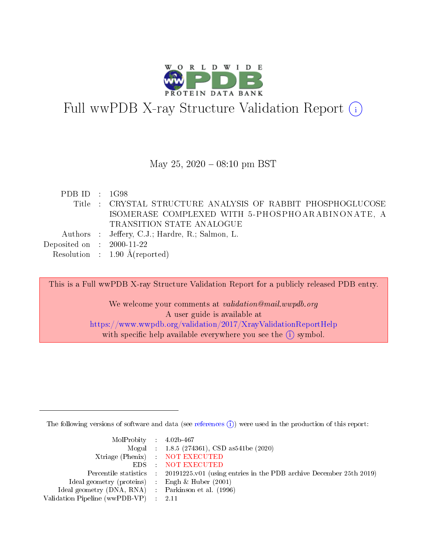

# Full wwPDB X-ray Structure Validation Report  $(i)$

#### May 25,  $2020 - 08:10$  pm BST

| PDBID : 1G98                |                                                             |
|-----------------------------|-------------------------------------------------------------|
|                             | Title : CRYSTAL STRUCTURE ANALYSIS OF RABBIT PHOSPHOGLUCOSE |
|                             | ISOMERASE COMPLEXED WITH 5-PHOSPHOARABINONATE, A            |
|                             | TRANSITION STATE ANALOGUE                                   |
|                             | Authors : Jeffery, C.J.; Hardre, R.; Salmon, L.             |
| Deposited on : $2000-11-22$ |                                                             |
|                             | Resolution : $1.90 \text{ Å}$ (reported)                    |

This is a Full wwPDB X-ray Structure Validation Report for a publicly released PDB entry. We welcome your comments at validation@mail.wwpdb.org A user guide is available at <https://www.wwpdb.org/validation/2017/XrayValidationReportHelp> with specific help available everywhere you see the  $(i)$  symbol.

The following versions of software and data (see [references](https://www.wwpdb.org/validation/2017/XrayValidationReportHelp#references)  $(i)$ ) were used in the production of this report:

| $MolProbability$ 4.02b-467                          |                                                                                            |
|-----------------------------------------------------|--------------------------------------------------------------------------------------------|
|                                                     | Mogul : 1.8.5 (274361), CSD as 541be (2020)                                                |
|                                                     | Xtriage (Phenix) NOT EXECUTED                                                              |
|                                                     | EDS : NOT EXECUTED                                                                         |
|                                                     | Percentile statistics : 20191225.v01 (using entries in the PDB archive December 25th 2019) |
| Ideal geometry (proteins) : Engh $\&$ Huber (2001)  |                                                                                            |
| Ideal geometry (DNA, RNA) : Parkinson et al. (1996) |                                                                                            |
| Validation Pipeline (wwPDB-VP) : 2.11               |                                                                                            |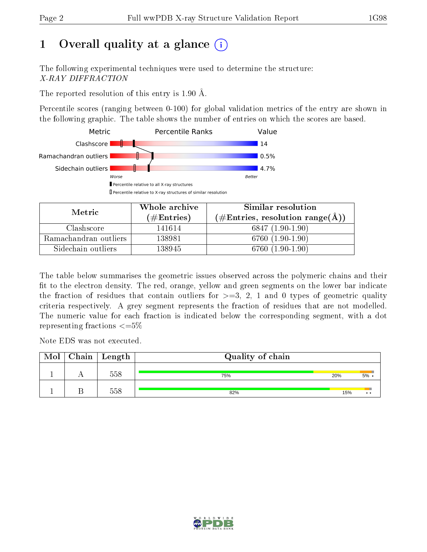# 1 [O](https://www.wwpdb.org/validation/2017/XrayValidationReportHelp#overall_quality)verall quality at a glance  $(i)$

The following experimental techniques were used to determine the structure: X-RAY DIFFRACTION

The reported resolution of this entry is 1.90 Å.

Percentile scores (ranging between 0-100) for global validation metrics of the entry are shown in the following graphic. The table shows the number of entries on which the scores are based.



| Metric                | Whole archive       | Similar resolution                                         |  |  |
|-----------------------|---------------------|------------------------------------------------------------|--|--|
|                       | (# $\rm{Entries}$ ) | $(\#\text{Entries}, \text{resolution range}(\text{\AA}) )$ |  |  |
| Clashscore            | 141614              | $6847(1.90-1.90)$                                          |  |  |
| Ramachandran outliers | 138981              | 6760 (1.90-1.90)                                           |  |  |
| Sidechain outliers    | 138945              | 6760 (1.90-1.90)                                           |  |  |

The table below summarises the geometric issues observed across the polymeric chains and their fit to the electron density. The red, orange, yellow and green segments on the lower bar indicate the fraction of residues that contain outliers for  $\geq=3$ , 2, 1 and 0 types of geometric quality criteria respectively. A grey segment represents the fraction of residues that are not modelled. The numeric value for each fraction is indicated below the corresponding segment, with a dot representing fractions  $\leq=5\%$ 

Note EDS was not executed.

| Mol | $\mid$ Chain $\mid$ Length $\mid$ | Quality of chain |     |              |  |  |
|-----|-----------------------------------|------------------|-----|--------------|--|--|
|     | 558                               | 75%              | 20% | 5%           |  |  |
|     | 558                               | 82%              | 15% | $\cdot\cdot$ |  |  |

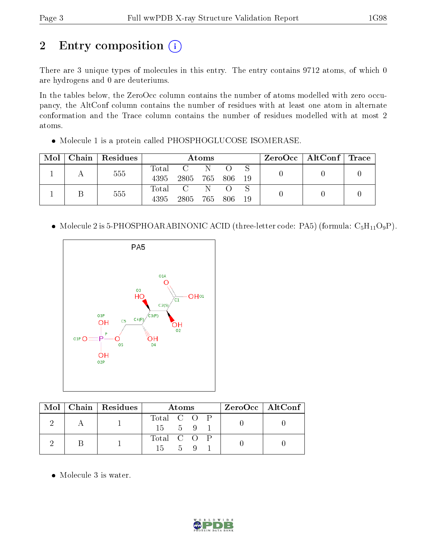# 2 Entry composition (i)

There are 3 unique types of molecules in this entry. The entry contains 9712 atoms, of which 0 are hydrogens and 0 are deuteriums.

In the tables below, the ZeroOcc column contains the number of atoms modelled with zero occupancy, the AltConf column contains the number of residues with at least one atom in alternate conformation and the Trace column contains the number of residues modelled with at most 2 atoms.

Molecule 1 is a protein called PHOSPHOGLUCOSE ISOMERASE.

| Mol | Chain   Residues | Atoms       |      |         |                  |     |  | $\text{ZeroOcc} \mid \text{AltConf} \mid \text{Trace}$ |  |
|-----|------------------|-------------|------|---------|------------------|-----|--|--------------------------------------------------------|--|
|     | 555              | Total       |      | N       |                  |     |  |                                                        |  |
|     |                  | 4395        | 2805 | 765 806 |                  | -19 |  |                                                        |  |
|     | 555              | $\rm Total$ |      | 'N.     | $\left( \right)$ |     |  |                                                        |  |
|     |                  | 4395        | 2805 | 765 806 |                  | -19 |  |                                                        |  |

• Molecule 2 is 5-PHOSPHOARABINONIC ACID (three-letter code: PA5) (formula:  $C_5H_{11}O_9P$ ).



|  | $\text{Mol}$   Chain   Residues | Atoms                               | $ZeroOcc \   \ AltConf$ |
|--|---------------------------------|-------------------------------------|-------------------------|
|  |                                 | Total C O P<br>$15 \t 5 \t 9 \t 1$  |                         |
|  |                                 | Total C O P<br>$15 \quad 5 \quad 9$ |                         |

Molecule 3 is water.

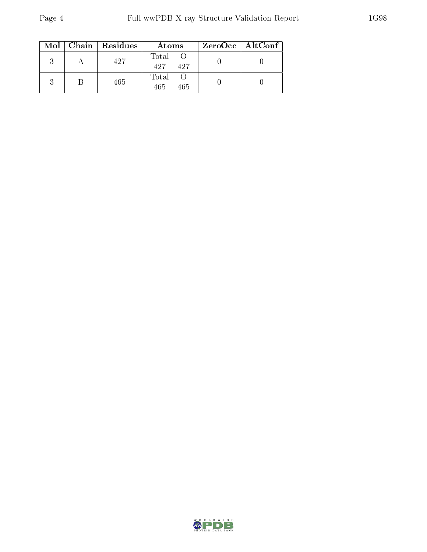|  | $Mol$   Chain   Residues | Atoms               | ZeroOcc   AltConf |
|--|--------------------------|---------------------|-------------------|
|  | 427                      | Total<br>427<br>427 |                   |
|  | 465                      | Total<br>465<br>465 |                   |

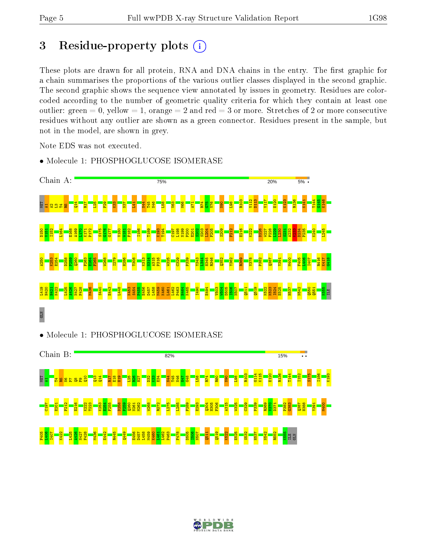C197 E201 F212 E216 K222 T223 K253  $\frac{254}{25}$ F255 D258 P259 Q260 N261 M262 W268 R272 L275 L285 F289 E293  $^{1304}$ H305 F306 A315 W325 C329 P339 R369  $\frac{1}{2}$ D371 P382 G383 Q387 H388 Y391 M400

F405 L406 I407 K422 L425 A426 N427 F428 M436 E442 R445  $\frac{6}{149}$ E456 D457 L458 M459 K460 L461 L462 P463 F478 D505 I506 N507  $\frac{11}{2}$ Q519 K522 E525 S532 H537 N542 R552 K555 ILE GLN

## 3 Residue-property plots  $(i)$

These plots are drawn for all protein, RNA and DNA chains in the entry. The first graphic for a chain summarises the proportions of the various outlier classes displayed in the second graphic. The second graphic shows the sequence view annotated by issues in geometry. Residues are colorcoded according to the number of geometric quality criteria for which they contain at least one outlier: green  $= 0$ , yellow  $= 1$ , orange  $= 2$  and red  $= 3$  or more. Stretches of 2 or more consecutive residues without any outlier are shown as a green connector. Residues present in the sample, but not in the model, are shown in grey.

Note EDS was not executed.



• Molecule 1: PHOSPHOGLUCOSE ISOMERASE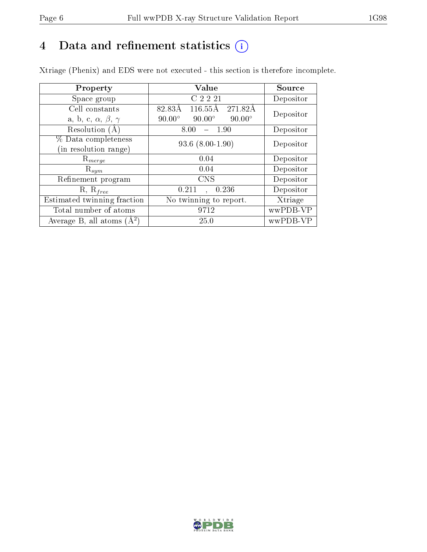# 4 Data and refinement statistics  $(i)$

Xtriage (Phenix) and EDS were not executed - this section is therefore incomplete.

| Property                               | Value                                           | Source    |  |
|----------------------------------------|-------------------------------------------------|-----------|--|
| Space group                            | C 2 2 21                                        | Depositor |  |
| Cell constants                         | 116.55Å 271.82Å<br>82.83Å                       | Depositor |  |
| a, b, c, $\alpha$ , $\beta$ , $\gamma$ | $90.00^\circ$<br>$90.00^\circ$<br>$90.00^\circ$ |           |  |
| Resolution (A                          | 8.00<br>- 1.90                                  | Depositor |  |
| % Data completeness                    | $93.6(8.00-1.90)$                               | Depositor |  |
| in resolution range)                   |                                                 |           |  |
| $\mathrm{R}_{merge}$                   | 0.04                                            | Depositor |  |
| $\mathrm{R}_{sym}$                     | 0.04                                            | Depositor |  |
| Refinement program                     | <b>CNS</b>                                      | Depositor |  |
| $R, R_{free}$                          | 0.211<br>0.236                                  | Depositor |  |
| Estimated twinning fraction            | No twinning to report.                          | Xtriage   |  |
| Total number of atoms                  | 9712                                            | wwPDB-VP  |  |
| Average B, all atoms $(A^2)$           | 25.0                                            | wwPDB-VP  |  |

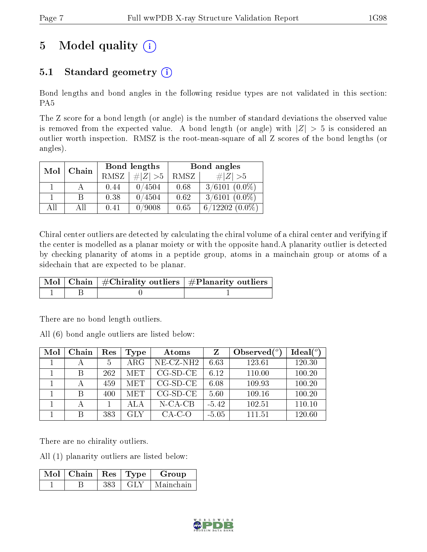## 5 Model quality  $(i)$

## 5.1 Standard geometry  $(i)$

Bond lengths and bond angles in the following residue types are not validated in this section: PA5

The Z score for a bond length (or angle) is the number of standard deviations the observed value is removed from the expected value. A bond length (or angle) with  $|Z| > 5$  is considered an outlier worth inspection. RMSZ is the root-mean-square of all Z scores of the bond lengths (or angles).

| Mol | Chain |      | Bond lengths | Bond angles |                  |  |
|-----|-------|------|--------------|-------------|------------------|--|
|     |       | RMSZ | # $ Z >5$    | RMSZ        | $\# Z  > 5$      |  |
|     |       | 0.44 | 0/4504       | 0.68        | $3/6101 (0.0\%)$ |  |
|     | R     | 0.38 | 0/4504       | 0.62        | $3/6101 (0.0\%)$ |  |
| AH  | ΑH    | 0.41 | 0/9008       | 0.65        | $6/12202(0.0\%)$ |  |

Chiral center outliers are detected by calculating the chiral volume of a chiral center and verifying if the center is modelled as a planar moiety or with the opposite hand.A planarity outlier is detected by checking planarity of atoms in a peptide group, atoms in a mainchain group or atoms of a sidechain that are expected to be planar.

|  | $\mid$ Mol $\mid$ Chain $\mid$ #Chirality outliers $\mid$ #Planarity outliers $^{\prime}$ |
|--|-------------------------------------------------------------------------------------------|
|  |                                                                                           |

There are no bond length outliers.

All (6) bond angle outliers are listed below:

| Mol | Chain | Res | Type       | Atoms        | $\mathbf{Z}$ | Observed $\binom{o}{c}$ | Ideal $(°)$ |
|-----|-------|-----|------------|--------------|--------------|-------------------------|-------------|
|     |       | 5   | ARG        | $NE- CZ-NH2$ | 6.63         | 123.61                  | 120.30      |
|     | В     | 262 | <b>MET</b> | $CG-SD-CE$   | 6.12         | 110.00                  | 100.20      |
|     |       | 459 | <b>MET</b> | $CG-SD-CE$   | 6.08         | 109.93                  | 100.20      |
|     | В     | 400 | <b>MET</b> | $CG-SD-CE$   | 5.60         | 109.16                  | 100.20      |
|     |       |     | ALA        | $N$ -CA-CB   | $-5.42$      | 102.51                  | 110.10      |
|     |       | 383 | GLY        | $CA-C-O$     | $-5.05$      | 111.51                  | 120.60      |

There are no chirality outliers.

All (1) planarity outliers are listed below:

| $Mol$   Chain |     | $\mid$ Res $\mid$ Type | Group     |
|---------------|-----|------------------------|-----------|
|               | 383 |                        | Mainchain |

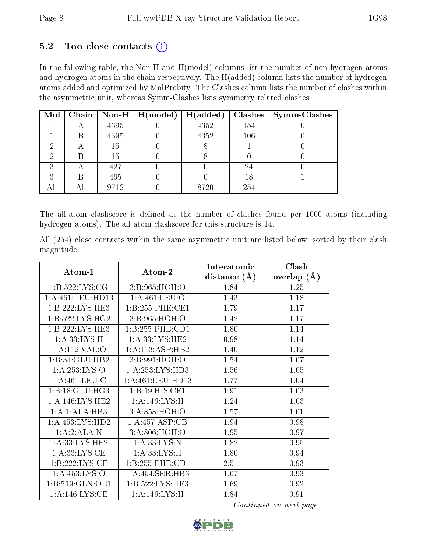#### $5.2$  Too-close contacts  $(i)$

In the following table, the Non-H and H(model) columns list the number of non-hydrogen atoms and hydrogen atoms in the chain respectively. The H(added) column lists the number of hydrogen atoms added and optimized by MolProbity. The Clashes column lists the number of clashes within the asymmetric unit, whereas Symm-Clashes lists symmetry related clashes.

| Mol |      | $\mid$ Chain $\mid$ Non-H $\mid$ H(model) $\mid$ | H(added) |     | $Clashes$   Symm-Clashes |
|-----|------|--------------------------------------------------|----------|-----|--------------------------|
|     | 4395 |                                                  | 4352     | 154 |                          |
|     | 4395 |                                                  | 4352     | 106 |                          |
|     | 15   |                                                  |          |     |                          |
|     | 15   |                                                  |          |     |                          |
|     | 427  |                                                  |          |     |                          |
|     | 465  |                                                  |          | 18  |                          |
|     | 9712 |                                                  | 8720     | 254 |                          |

The all-atom clashscore is defined as the number of clashes found per 1000 atoms (including hydrogen atoms). The all-atom clashscore for this structure is 14.

All (254) close contacts within the same asymmetric unit are listed below, sorted by their clash magnitude.

|                                   |                      | Interatomic    | Clash         |
|-----------------------------------|----------------------|----------------|---------------|
| Atom-1                            | Atom-2               | distance $(A)$ | overlap $(A)$ |
| 1: B:522: LYS: CG                 | 3:B:965:HOH:O        |                | 1.25          |
| 1: A:461:LEU:HD13                 | 1: A:461:LEU:O       | 1.43           | 1.18          |
| 1:B:222:LYS:HE3                   | 1:B:255:PHE:CE1      | 1.79           | 1.17          |
| 1: B: 522: LYS: HG2               | 3:B:965:HOH:O        | 1.42           | 1.17          |
| 1: B: 222: LYS: HE3               | 1:B:255:PHE:CD1      | 1.80           | 1.14          |
| 1: A: 33: LYS: H                  | 1: A: 33: LYS: HE2   | 0.98           | 1.14          |
| 1:A:112:VAL:O                     | 1:A:113:ASP:HB2      | 1.40           | 1.12          |
| 1:B:34:GLU:HB2                    | 3:B:991:HOH:O        | 1.54           | 1.07          |
| 1: A: 253: LYS: O                 | 1: A: 253: LYS: HD3  | 1.56           | 1.05          |
| 1: A:461:LEU:C                    | 1: A: 461: LEU: HD13 | 1.77           | 1.04          |
| 1:B:18:GLU:HG3                    | 1:B:19:HIS:CE1       | 1.91           | 1.03          |
| 1:A:146:LYS:HE2                   | 1: A:146: LYS:H      | 1.24           | 1.03          |
| 1:A:1:ALA:HB3                     | 3:A:858:HOH:O        | 1.57           | 1.01          |
| 1:A:453:LYS:HD2                   | 1:A:457:ASP:CB       | 1.94           | 0.98          |
| 1:A:2:ALA:N                       | 3:A:806:HOH:O        | 1.95           | 0.97          |
| 1: A: 33: LYS: HE2                | 1: A: 33: LYS:N      | 1.82           | 0.95          |
| $1:A:33:LYS:\overline{\text{CE}}$ | 1:A:33:LYS:H         | 1.80           | 0.94          |
| 1:B:222:LYS:CE                    | 1:B:255:PHE:CD1      | 2.51           | 0.93          |
| 1: A: 453: LYS: O                 | 1: A: 454: SER: HB3  | 1.67           | 0.93          |
| 1:B:519:GLN:OE1                   | 1: B: 522: LYS: HE3  | 1.69           | 0.92          |
| 1: A:146: LYS: CE                 | 1: A:146: LYS:H      | 1.84           | 0.91          |

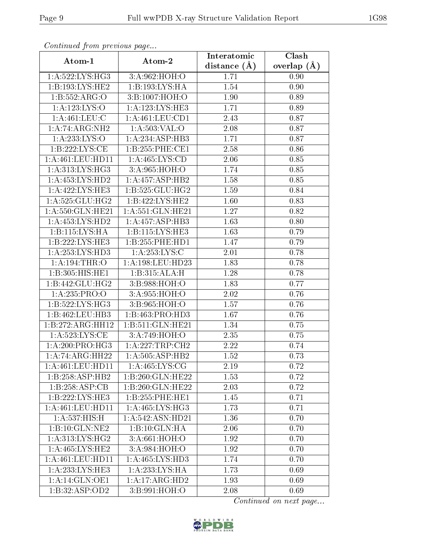| Continuata from previous page |                     | Interatomic    | Clash           |
|-------------------------------|---------------------|----------------|-----------------|
| Atom-1                        | Atom-2              | distance $(A)$ | overlap $(\AA)$ |
| 1:A:522:LYS:HG3               | 3:A:962:HOH:O       | 1.71           | 0.90            |
| 1: B: 193: LYS: HE2           | 1:B:193:LYS:HA      | 1.54           | 0.90            |
| 1:B:552:ARG:O                 | 3:B:1007:HOH:O      | 1.90           | 0.89            |
| 1:A:123:LYS:O                 | 1: A: 123: LYS: HE3 | 1.71           | 0.89            |
| 1:A:461:LEU:C                 | 1: A:461:LEU:CD1    | 2.43           | 0.87            |
| $1:A:74:ARG:\overline{NH2}$   | 1: A: 503: VAL: O   | 2.08           | 0.87            |
| 1:A:233:LYS:O                 | 1:A:234:ASP:HB3     | 1.71           | 0.87            |
| 1:B:222:LYS:CE                | 1: B: 255: PHE: CE1 | 2.58           | 0.86            |
| 1:A:461:LEU:HD11              | 1:A:465:LYS:CD      | 2.06           | 0.85            |
| 1: A:313: LYS: HG3            | 3:A:965:HOH:O       | 1.74           | 0.85            |
| 1:A:453:LYS:HD2               | 1:A:457:ASP:HB2     | 1.58           | 0.85            |
| 1:A:422:LYS:HE3               | 1:B:525:GLU:HG2     | 1.59           | 0.84            |
| 1: A:525: GLU:HG2             | 1:B:422:LYS:HE2     | 1.60           | 0.83            |
| 1:A:550:GLN:HE21              | 1:A:551:GLN:HE21    | 1.27           | 0.82            |
| 1:A:453:LYS:HD2               | 1:A:457:ASP:HB3     | 1.63           | 0.80            |
| 1:B:115:LYS:HA                | 1:B:115:LYS:HE3     | 1.63           | 0.79            |
| 1:B:222:LYS:HE3               | 1:B:255:PHE:HD1     | 1.47           | 0.79            |
| 1: A: 253: LYS: HD3           | 1: A:253: LYS:C     | 2.01           | 0.78            |
| 1: A: 194: THR:O              | 1:A:198:LEU:HD23    | 1.83           | 0.78            |
| 1:B:305:HIS:HE1               | 1:B:315:ALA:H       | 1.28           | 0.78            |
| 1:B:442:GLU:HG2               | 3:B:988:HOH:O       | 1.83           | 0.77            |
| 1:A:235:PRO:O                 | 3: A:955: HOH:O     | 2.02           | 0.76            |
| $1:B:522:LYS:H\overline{G3}$  | 3:B:965:HOH:O       | 1.57           | 0.76            |
| 1:B:462:LEU:HB3               | 1:B:463:PRO:HD3     | 1.67           | 0.76            |
| 1:B:272:ARG:HH12              | 1:B:511:GLN:HE21    | 1.34           | 0.75            |
| $1:A:\overline{523:LYS:CE}$   | 3:A:749:HOH:O       | 2.35           | 0.75            |
| 1: A:200:PRO:HG3              | 1: A:227:TRP:CH2    | 2.22           | 0.74            |
| 1:A:74:ARG:HH22               | 1:A:505:ASP:HB2     | 1.52           | 0.73            |
| 1: A:461: LEU: HD11           | 1: A:465: LYS: CG   | 2.19           | 0.72            |
| 1:B:258:ASP:HB2               | 1:B:260:GLN:HE22    | 1.53           | 0.72            |
| 1:B:258:ASP:CB                | 1:B:260:GLN:HE22    | 2.03           | 0.72            |
| 1:B:222:LYS:HE3               | 1:B:255:PHE:HE1     | 1.45           | 0.71            |
| 1: A:461:LEU:HD11             | 1: A:465: LYS:HG3   | 1.73           | 0.71            |
| 1:A:537:HIS:H                 | 1:A:542:ASN:HD21    | 1.36           | 0.70            |
| 1:B:10:GLN:NE2                | 1:B:10:GLN:HA       | 2.06           | 0.70            |
| 1: A:313: LYS: HG2            | 3:A:661:HOH:O       | 1.92           | 0.70            |
| 1: A:465:LYS:HE2              | 3:A:984:HOH:O       | 1.92           | 0.70            |
| 1: A:461:LEU:HD11             | 1:A:465:LYS:HD3     | 1.74           | 0.70            |
| 1:A:233:LYS:HE3               | 1: A: 233: LYS: HA  | 1.73           | 0.69            |
| 1:A:14:GLN:OE1                | 1:A:17:ARG:HD2      | 1.93           | 0.69            |
| 1:B:32:ASP:OD2                | 3:B:991:HOH:O       | 2.08           | 0.69            |

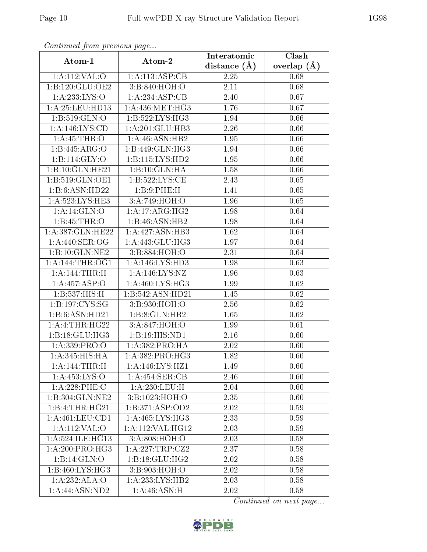| Communa from previous page |                                  | Interatomic      | Clash           |  |
|----------------------------|----------------------------------|------------------|-----------------|--|
| Atom-1                     | Atom-2                           | distance $(\AA)$ | overlap $(\AA)$ |  |
| 1:A:112:VAL:O              | 1:A:113:ASP:CB                   | 2.25             | 0.68            |  |
| 1:B:120:GLU:OE2            | 3:B:840:HOH:O                    | 2.11             | 0.68            |  |
| 1:A:233:LYS:O              | 1:A:234:ASP:CB                   | 2.40             | 0.67            |  |
| 1: A:25:LEU:HD13           | 1: A:436:MET:HG3                 | 1.76             | 0.67            |  |
| 1:B:519:GLN:O              | 1:B:522:LYS:HG3                  | 1.94             | 0.66            |  |
| 1: A: 146: LYS: CD         | 1:A:201:GLU:HB3                  | 2.26             | 0.66            |  |
| 1: A:45:THR:O              | 1: A:46: ASN:HB2                 | 1.95             | 0.66            |  |
| 1:B:445:ARG:O              | 1:B:449:GLN:HG3                  | 1.94             | 0.66            |  |
| 1: B: 114: GLY: O          | 1:B:115:LYS:HD2                  | 1.95             | 0.66            |  |
| 1:B:10:GLN:HE21            | 1:B:10:GLN:HA                    | 1.58             | 0.66            |  |
| 1:B:519:GLN:OE1            | 1:B:522:LYS:CE                   | 2.43             | 0.65            |  |
| 1:B:6:ASN:HD22             | 1:B:9:PHE:H                      | 1.41             | 0.65            |  |
| 1:A:523:LYS:HE3            | 3:A:749:HOH:O                    | 1.96             | 0.65            |  |
| 1:A:14:GLN:O               | 1:A:17:ARG:HG2                   | 1.98             | 0.64            |  |
| 1:B:45:THR:O               | 1:B:46:ASN:HB2                   | 1.98             | 0.64            |  |
| 1:A:387:GLN:HE22           | 1:A:427:ASN:HB3                  | 1.62             | 0.64            |  |
| 1: A:440: SER:OG           | 1:A:443:GLU:HG3                  | 1.97             | 0.64            |  |
| 1:B:10:GLN:NE2             | 3:B:884:HOH:O                    | 2.31             | 0.64            |  |
| 1: A:144:THR:OG1           | 1:A:146:LYS:HD3                  | 1.98             | 0.63            |  |
| 1: A:144:THR:H             | 1:A:146:LYS:NZ                   | 1.96             | 0.63            |  |
| 1:A:457:ASP:O              | 1: A:460: LYS: HG3               | 1.99             | 0.62            |  |
| 1:B:537:HIS:H              | 1:B:542:ASN:HD21                 | 1.45             | 0.62            |  |
| 1:B:197:CYS:SG             | 3:B:930:HOH:O                    | 2.56             | 0.62            |  |
| 1:B:6:ASN:HD21             | 1:B:8:GLN:HB2                    | 1.65             | 0.62            |  |
| 1:A:4:THR:HG22             | 3:A:847:HOH:O                    | 1.99             | 0.61            |  |
| 1:B:18:GLU:HG3             | 1:B:19:HIS:ND1                   | 2.16             | 0.60            |  |
| 1:A:339:PRO:O              | 1:A:382:PRO:HA                   | 2.02             | 0.60            |  |
| 1: A:345: HIS: HA          | $1: A: 382: PRO: \overline{HG3}$ | 1.82             | 0.60            |  |
| 1:A:144:THR:H              | 1:A:146:LYS:HZ1                  | 1.49             | 0.60            |  |
| 1:A:453:LYS:O              | 1:A:454:SER:CB                   | 2.46             | 0.60            |  |
| $1:A:228:$ PHE:C           | 1: A:230:LEU:H                   | 2.04             | 0.60            |  |
| 1:B:304:GLN:NE2            | 3:B:1023:HOH:O                   | 2.35             | 0.60            |  |
| 1:B:4:THR:HG21             | 1:B:371:ASP:OD2                  | 2.02             | 0.59            |  |
| 1: A: 461: LEU: CD1        | 1:A:465:LYS:HG3                  | 2.33             | 0.59            |  |
| 1:A:112:VAL:O              | 1:A:112:VAL:HG12                 | 2.03             | 0.59            |  |
| 1: A:524: ILE: HG13        | 3: A:808:HOH:O                   | 2.03             | 0.58            |  |
| 1: A:200:PRO:HG3           | 1:A:227:TRP:CZ2                  | 2.37             | 0.58            |  |
| 1:B:14:GLN:O               | 1:B:18:GLU:HG2                   | 2.02             | 0.58            |  |
| 1:B:460:LYS:HG3            | 3:B:903:HOH:O                    | 2.02             | 0.58            |  |
| 1:A:232:ALA:O              | 1: A: 233: LYS: HB2              | 2.03             | 0.58            |  |
| 1:A:44:ASN:ND2             | 1:A:46:ASN:H                     | 2.02             | 0.58            |  |

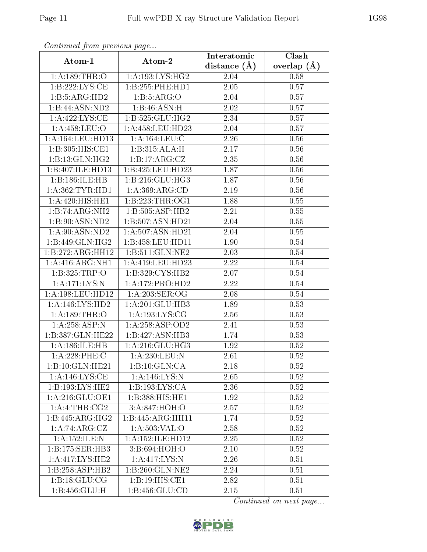| Continuea from previous page<br>Interatomic |                               |                  |                        |  |
|---------------------------------------------|-------------------------------|------------------|------------------------|--|
| Atom-1                                      | Atom-2                        | distance $(\AA)$ | Clash<br>overlap $(A)$ |  |
| 1: A: 189: THR:O                            | 1: A: 193: LYS: HG2           | 2.04             | 0.58                   |  |
| 1:B:222:LYS:CE                              | 1:B:255:PHE:HD1               | 2.05             | 0.57                   |  |
| 1:B:5:ARG:HD2                               | 1: B: 5: ARG: O               | 2.04             | 0.57                   |  |
| 1:B:44:ASN:ND2                              | 1:B:46:ASN:H                  | 2.02             | 0.57                   |  |
| 1:A:422:LYS:CE                              | 1:B:525:GLU:HG2               | 2.34             | 0.57                   |  |
| 1: A:458:LEU:O                              | 1:A:458:LEU:HD23              | 2.04             | 0.57                   |  |
| 1: A: 164: LEU: HD13                        | 1: A: 164: LEU: C             | 2.26             | 0.56                   |  |
| 1:B:305:HIS:CE1                             | 1:B:315:ALA:H                 | 2.17             | 0.56                   |  |
| 1:B:13:GLN:HG2                              | 1:B:17:ARG:CZ                 | 2.35             | 0.56                   |  |
| 1:B:407:ILE:HD13                            | 1:B:425:LEU:HD23              | 1.87             | 0.56                   |  |
| 1:B:186:ILE:HB                              | 1:B:216:GLU:HG3               | 1.87             | 0.56                   |  |
| 1: A: 362: TYR: HD1                         | 1:A:369:ARG:CD                | 2.19             | 0.56                   |  |
| 1:A:420:HIS:HE1                             | 1:B:223:THR:OG1               | 1.88             | 0.55                   |  |
| 1:B:74:ARG:NH2                              | 1:B:505:ASP:HB2               | 2.21             | 0.55                   |  |
| 1:B:90:ASN:ND2                              | 1:B:507:ASN:HD21              | 2.04             | 0.55                   |  |
| 1: A:90: ASN:ND2                            | 1: A:507: ASN:HD21            | 2.04             | 0.55                   |  |
| 1:B:449:GLN:HG2                             | 1:B:458:LEU:HD11              | 1.90             | 0.54                   |  |
| 1:B:272:ARG:HH12                            | 1: B:511: GLN: NE2            | 2.03             | 0.54                   |  |
| 1: A:416: ARG: NH1                          | 1:A:419:LEU:HD23              | 2.22             | 0.54                   |  |
| 1:B:325:TRP:O                               | 1:B:329:CYS:HB2               | 2.07             | 0.54                   |  |
| 1:A:171:LYS:N                               | 1:A:172:PRO:HD2               | 2.22             | 0.54                   |  |
| 1:A:198:LEU:HD12                            | 1: A:203: SER:OG              | 2.08             | 0.54                   |  |
| 1:A:146:LYS:HD2                             | 1:A:201:GLU:HB3               | 1.89             | 0.53                   |  |
| 1: A: 189: THR:O                            | 1: A: 193: LYS: CG            | 2.56             | 0.53                   |  |
| 1:A:258:ASP:N                               | 1:A:258:ASP:OD2               | 2.41             | 0.53                   |  |
| 1:B:387:GLN:HE22                            | 1:B:427:ASN:HB3               | 1.74             | 0.53                   |  |
| 1:A:186:ILE:HB                              | 1:A:216:GLU:HG3               | 1.92             | 0.52                   |  |
| 1:A:228:PHE:C                               | 1:A:230:LEU:N                 | 2.61             | 0.52                   |  |
| 1:B:10:GLN:HE21                             | 1:B:10:GLN:CA                 | 2.18             | 0.52                   |  |
| 1: A:146: LYS: CE                           | 1:A:146:LYS:N                 | 2.65             | 0.52                   |  |
| 1:B:193:LYS:HE2                             | 1: B: 193: LYS: CA            | 2.36             | 0.52                   |  |
| 1: A:216: GLU:OE1                           | 1:B:388:HIS:HE1               | 1.92             | 0.52                   |  |
| $1:A:4:THR: \overline{CG2}$                 | 3:A:847:HOH:O                 | 2.57             | 0.52                   |  |
| 1:B:445:ARG:HG2                             | 1:B:445:ARG:HH11              | 1.74             | 0.52                   |  |
| 1:A:74:ARG:CZ                               | 1:A:503:VAL:O                 | 2.58             | 0.52                   |  |
| 1:A:152:ILE:N                               | $1:A:\overline{152:1LE:HD12}$ | 2.25             | 0.52                   |  |
| 1: B: 175: SER: HB3                         | 3:B:694:HOH:O                 | 2.10             | 0.52                   |  |
| 1:A:417:LYS:HE2                             | 1:A:417:LYS:N                 | 2.26             | 0.51                   |  |
| 1:B:258:ASP:HB2                             | 1:B:260:GLN:NE2               | 2.24             | 0.51                   |  |
| $1:B:18:GL\overline{U:CG}$                  | 1:B:19:HIS:CE1                | 2.82             | 0.51                   |  |
| $1:B:456:\overline{\text{GLU:H}}$           | 1:B:456:GLU:CD                | 2.15             | 0.51                   |  |

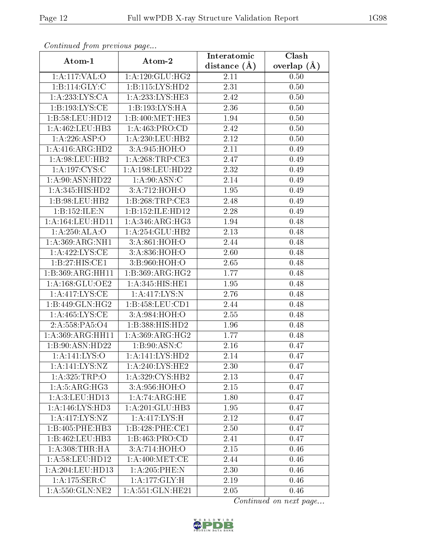| Continuou jiom protivus pugo |                     | Interatomic       | Clash         |  |
|------------------------------|---------------------|-------------------|---------------|--|
| Atom-1                       | Atom-2              | distance $(A)$    | overlap $(A)$ |  |
| 1:A:117:VAL:O                | 1: A:120: GLU: HG2  | 2.11              | 0.50          |  |
| 1:B:114:GLY:C                | 1: B: 115: LYS: HD2 | 2.31              | 0.50          |  |
| 1:A:233:LYS:CA               | 1: A:233:LYS:HE3    | 2.42              | 0.50          |  |
| 1:B:193:LYS:CE               | 1:B:193:LYS:HA      | 2.36              | 0.50          |  |
| 1:B:58:LEU:HD12              | 1:B:400:MET:HE3     | 1.94              | 0.50          |  |
| 1: A: 462: LEU: HB3          | 1: A:463: PRO:CD    | 2.42              | 0.50          |  |
| 1:A:226:ASP:O                | 1:A:230:LEU:HB2     | 2.12              | 0.50          |  |
| 1: A:416: ARG:HD2            | 3: A:945: HOH:O     | 2.11              | 0.49          |  |
| 1:A:98:LEU:HB2               | 1: A:268:TRP:CE3    | 2.47              | 0.49          |  |
| 1: A: 197: CYS: C            | 1:A:198:LEU:HD22    | 2.32              | 0.49          |  |
| 1:A:90:ASN:HD22              | 1: A:90: ASN: C     | 2.14              | 0.49          |  |
| 1:A:345:HIS:HD2              | 3:A:712:HOH:O       | 1.95              | 0.49          |  |
| 1:B:98:LEU:HB2               | 1: B:268:TRP:CE3    | 2.48              | 0.49          |  |
| 1:B:152:ILE:N                | 1:B:152:ILE:HD12    | 2.28              | 0.49          |  |
| 1: A: 164: LEU: HD11         | 1: A:346: ARG: HG3  | 1.94              | 0.48          |  |
| 1:A:250:ALA:O                | 1: A:254: GLU:HB2   | 2.13              | 0.48          |  |
| 1:A:369:ARG:NH1              | 3:A:861:HOH:O       | 2.44              | 0.48          |  |
| 1:A:422:LYS:CE               | 3: A:836: HOH:O     | 2.60              | 0.48          |  |
| 1:B:27:HIS:CE1               | 3:B:960:HOH:O       | 2.65              | 0.48          |  |
| 1:B:369:ARG:HH11             | 1:B:369:ARG:HG2     | 1.77              | 0.48          |  |
| 1: A: 168: GLU: OE2          | 1:A:345:HIS:HE1     | 1.95              | 0.48          |  |
| 1:A:417:LYS:CE               | 1: A: 417: LYS:N    | 2.76              | 0.48          |  |
| 1:B:449:GLN:HG2              | 1: B: 458: LEU: CD1 | 2.44              | 0.48          |  |
| 1: A:465:LYS:CE              | 3: A:984: HOH:O     | 2.55              | 0.48          |  |
| 2:A:558:PA5:O4               | 1:B:388:HIS:HD2     | 1.96              | 0.48          |  |
| 1:A:369:ARG:HH11             | 1:A:369:ARG:HG2     | 1.77              | 0.48          |  |
| 1:B:90:ASN:HD22              | 1: B:90: ASN: C     | 2.16              | 0.47          |  |
| 1:A:141:LYS:O                | 1: A:141: LYS: HD2  | 2.14              | 0.47          |  |
| 1:A:141:LYS:NZ               | 1: A:240: LYS: HE2  | 2.30              | 0.47          |  |
| 1:A:325:TRP:O                | 1:A:329:CYS:HB2     | 2.13              | 0.47          |  |
| 1:A:5:ARG:HG3                | 3: A:956: HOH:O     | 2.15              | 0.47          |  |
| 1:A:3:LEU:HD13               | 1:A:74:ARG:HE       | 1.80              | 0.47          |  |
| 1:A:146:LYS:HD3              | 1:A:201:GLU:HB3     | 1.95              | 0.47          |  |
| 1:A:417:LYS:NZ               | 1:A:417:LYS:H       | $2.\overline{12}$ | 0.47          |  |
| 1:B:405:PHE:HB3              | 1:B:428:PHE:CE1     | 2.50              | 0.47          |  |
| 1:B:462:LEU:HB3              | 1:B:463:PRO:CD      | 2.41              | 0.47          |  |
| 1: A:308:THR:HA              | 3:A:714:HOH:O       | 2.15              | 0.46          |  |
| 1: A:58: LEU: HD12           | 1: A:400:MET:CE     | 2.44              | 0.46          |  |
| 1:A:204:LEU:HD13             | 1: A:205:PHE:N      | 2.30              | 0.46          |  |
| 1:A:175:SER:C                | 1:A:177:GLY:H       | 2.19              | 0.46          |  |
| 1:A:550:GLN:NE2              | 1:A:551:GLN:HE21    | 2.05              | 0.46          |  |

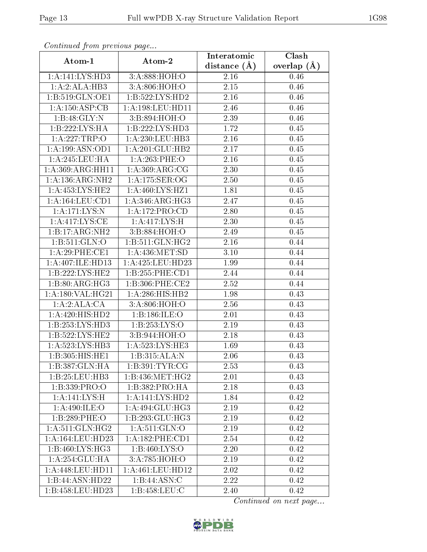| Continuati pont previous page |                              | Interatomic      | Clash           |
|-------------------------------|------------------------------|------------------|-----------------|
| Atom-1                        | Atom-2                       | distance $(\AA)$ | overlap $(\AA)$ |
| 1:A:141:LYS:HD3               | 3:A:888:HOH:O                | 2.16             | 0.46            |
| 1:A:2:ALA:HB3                 | 3:A:806:HOH:O                | 2.15             | 0.46            |
| 1:B:519:GLN:OE1               | 1:B:522:LYS:HD2              | 2.16             | 0.46            |
| 1:A:150:ASP:CB                | 1: A: 198: LEU: HD11         | 2.46             | 0.46            |
| 1:B:48:GLY:N                  | 3:B:894:HOH:O                | 2.39             | 0.46            |
| 1:B:222:LYS:HA                | 1:B:222:LYS:HD3              | 1.72             | 0.45            |
| 1:A:227:TRP:O                 | 1:A:230:LEU:HB3              | 2.16             | 0.45            |
| 1:A:199:ASN:OD1               | 1:A:201:GLU:HB2              | 2.17             | 0.45            |
| 1:A:245:LEU:HA                | $1: A:263:$ PHE:O            | 2.16             | $0.45\,$        |
| 1:A:369:ARG:HH11              | 1: A:369:ARG:CG              | 2.30             | 0.45            |
| 1:A:136:ARG:NH2               | 1:A:175:SER:OG               | 2.50             | 0.45            |
| 1: A: 453: LYS: HE2           | 1:A:460:LYS:HZ1              | 1.81             | 0.45            |
| 1: A: 164: LEU: CD1           | 1:A:346:ARG:HG3              | 2.47             | 0.45            |
| 1:A:171:LYS:N                 | 1:A:172:PRO:CD               | 2.80             | 0.45            |
| 1:A:417:LYS:CE                | 1: A: 417: LYS:H             | 2.30             | 0.45            |
| 1:B:17:ARG:NH2                | 3:B:884:HOH:O                | 2.49             | 0.45            |
| 1:B:511:GLN:O                 | 1:B:511:GLN:HG2              | 2.16             | 0.44            |
| 1:A:29:PHE:CE1                | 1: A: 436: MET: SD           | 3.10             | 0.44            |
| 1:A:407:ILE:HD13              | 1:A:425:LEU:HD23             | 1.99             | 0.44            |
| 1: B: 222: LYS: HE2           | 1: B: 255: PHE: CD1          | 2.44             | 0.44            |
| 1: B:80: ARG: HG3             | 1:B:306:PHE:CE2              | 2.52             | 0.44            |
| 1:A:180:VAL:HG21              | 1:A:286:HIS:HB2              | 1.98             | 0.43            |
| 1:A:2:ALA:CA                  | 3:A:806:HOH:O                | 2.56             | 0.43            |
| 1: A:420: HIS: HD2            | 1:B:186:ILE:O                | 2.01             | 0.43            |
| 1:B:253:LYS:HD3               | 1:B:253:LYS:O                | 2.19             | 0.43            |
| 1:B:522:LYS:HE2               | 3:B:944:HOH:O                | 2.18             | 0.43            |
| 1:A:523:LYS:HB3               | 1: A:523: LYS: HE3           | 1.69             | 0.43            |
| 1:B:305:HIS:HE1               | 1:B:315:ALA:N                | 2.06             | 0.43            |
| 1:B:387:GLN:HA                | 1:B:391:TYR:CG               | 2.53             | 0.43            |
| 1:B:25:LEU:HB3                | 1:B:436:MET:HG2              | 2.01             | 0.43            |
| 1:B:339:PRO:O                 | 1:B:382:PRO:HA               | 2.18             | 0.43            |
| 1:A:141:LYS:H                 | $1:A:141:LYS:\overline{HD2}$ | 1.84             | 0.42            |
| 1: A:490: ILE:O               | 1:A:494:GLU:HG3              | 2.19             | 0.42            |
| 1:B:289:PHE:O                 | 1:B:293:GLU:HG3              | 2.19             | 0.42            |
| 1: A:511: GLN: HG2            | 1: A:511: GLN:O              | 2.19             | 0.42            |
| 1:A:164:LEU:HD23              | 1: A: 182: PHE: CD1          | 2.54             | 0.42            |
| 1:B:460:LYS:HG3               | 1:B:460:LYS:O                | 2.20             | 0.42            |
| 1:A:254:GLU:HA                | 3:A:785:HOH:O                | 2.19             | 0.42            |
| 1: A:448: LEU: HD11           | 1: A: 461: LEU: HD12         | 2.02             | 0.42            |
| 1:B:44:ASN:HD22               | 1:B:44:ASN:C                 | 2.22             | 0.42            |
| 1:B:458:LEU:HD23              | 1: B: 458: LEU: C            | 2.40             | 0.42            |

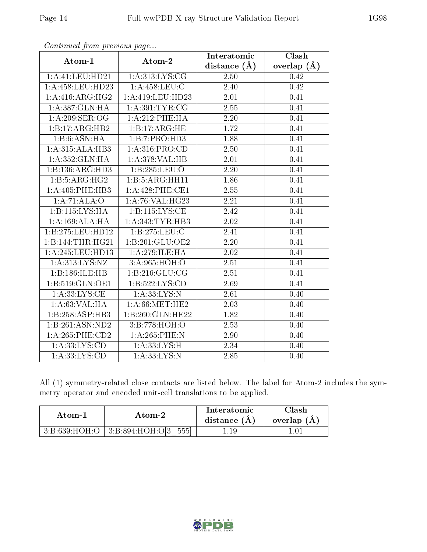| $\frac{1}{2}$       | Atom-2                                    | <b>Interatomic</b> | Clash           |
|---------------------|-------------------------------------------|--------------------|-----------------|
| Atom-1              |                                           | distance $(A)$     | overlap $(\AA)$ |
| 1:A:41:LEU:HD21     | 1: A:313: LYS: CG                         | 2.50               | 0.42            |
| 1:A:458:LEU:HD23    | 1: A:458:LEU:C                            | 2.40               | 0.42            |
| 1:A:416:ARG:HG2     | 1:A:419:LEU:HD23                          | 2.01               | 0.41            |
| 1:A:387:GLN:HA      | 1: A:391:TYR:CG                           | 2.55               | 0.41            |
| 1: A:209: SER:OG    | $1: A:212:$ PHE:HA                        | 2.20               | 0.41            |
| 1:B:17:ARG:HB2      | 1:B:17:ARG:HE                             | 1.72               | 0.41            |
| 1:B:6:ASN:HA        | 1:B:7:PRO:HD3                             | 1.88               | 0.41            |
| 1:A:315:ALA:HB3     | 1:A:316:PRO:CD                            | 2.50               | 0.41            |
| 1: A: 352: GLN: HA  | $1:A:378:\overline{\text{VAL:H}}\text{B}$ | 2.01               | 0.41            |
| 1:B:136:ARG:HD3     | 1:B:285:LEU:O                             | 2.20               | 0.41            |
| 1:B:5:ARG:HG2       | 1:B:5:ARG:HH11                            | 1.86               | 0.41            |
| 1: A:405:PHE:HB3    | 1: A:428:PHE:CE1                          | 2.55               | 0.41            |
| 1:A:71:ALA:O        | 1: A:76: VAL:HG23                         | 2.21               | 0.41            |
| 1:B:115:LYS:HA      | 1:B:115:LYS:CE                            | $\overline{2.42}$  | 0.41            |
| 1: A:169:ALA:HA     | 1:A:343:TYR:HB3                           | 2.02               | 0.41            |
| 1:B:275:LEU:HD12    | 1:B:275:LEU:C                             | 2.41               | 0.41            |
| 1:B:144:THR:HG21    | 1:B:201:GLU:OE2                           | 2.20               | 0.41            |
| 1:A:245:LEU:HD13    | 1: A:279: ILE: HA                         | 2.02               | 0.41            |
| 1:A:313:LYS:NZ      | 3:A:965:HOH:O                             | 2.51               | 0.41            |
| 1:B:186:ILE:HB      | 1: B:216: GLU:CG                          | 2.51               | 0.41            |
| 1:B:519:GLN:OE1     | 1: B: 522: LYS: CD                        | 2.69               | 0.41            |
| 1: A: 33: LYS: CE   | 1:A:33:LYS:N                              | 2.61               | 0.40            |
| 1:A:63:VAL:HA       | 1: A:66:MET:HE2                           | 2.03               | 0.40            |
| 1:B:258:ASP:HB3     | 1:B:260:GLN:HE22                          | 1.82               | 0.40            |
| 1:B:261:ASN:ND2     | 3:B:778:HOH:O                             | 2.53               | 0.40            |
| $1: A:265:$ PHE:CD2 | 1:A:265:PHE:N                             | 2.90               | 0.40            |
| 1: A: 33: LYS: CD   | 1: A: 33: LYS: H                          | 2.34               | 0.40            |
| 1: A: 33: LYS: CD   | 1:A:33:LYS:N                              | 2.85               | 0.40            |

All (1) symmetry-related close contacts are listed below. The label for Atom-2 includes the symmetry operator and encoded unit-cell translations to be applied.

| Atom-1 | Atom-2                                      | Interatomic<br>distance (A) | ∵lash -<br>overlap (A |
|--------|---------------------------------------------|-----------------------------|-----------------------|
|        | $3:B:639:HOH:O$   $3:B:894:HOH:O[3]$<br>555 |                             |                       |

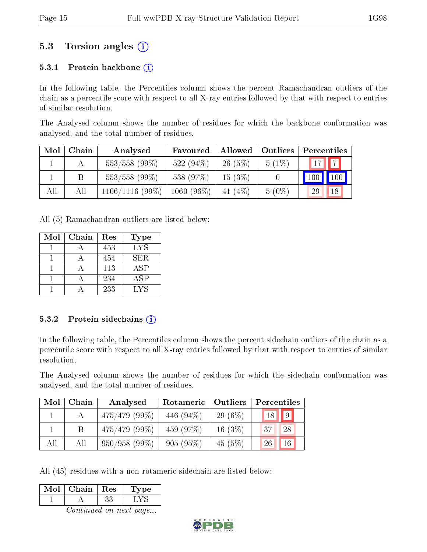## 5.3 Torsion angles (i)

#### 5.3.1 Protein backbone  $(i)$

In the following table, the Percentiles column shows the percent Ramachandran outliers of the chain as a percentile score with respect to all X-ray entries followed by that with respect to entries of similar resolution.

The Analysed column shows the number of residues for which the backbone conformation was analysed, and the total number of residues.

| Mol | Chain | Analysed          | Favoured     |           | Allowed   Outliers | Percentiles |                    |
|-----|-------|-------------------|--------------|-----------|--------------------|-------------|--------------------|
|     |       | $553/558$ (99%)   | 522 $(94\%)$ | 26(5%)    | $5(1\%)$           | $17$        |                    |
|     |       | $553/558$ (99%)   | 538 (97%)    | 15(3%)    |                    | 100         | $\blacksquare$ 100 |
| All | All   | $1106/1116(99\%)$ | $1060(96\%)$ | 41 $(4%)$ | $5(0\%)$           | 29          | 18                 |

All (5) Ramachandran outliers are listed below:

| Mol | Chain | Res | Type             |
|-----|-------|-----|------------------|
|     |       | 453 | $LY\overline{S}$ |
|     |       | 454 | SER.             |
|     |       | 113 | ASP              |
|     |       | 234 | ASP              |
|     |       | 233 | LYS              |

#### 5.3.2 Protein sidechains  $(i)$

In the following table, the Percentiles column shows the percent sidechain outliers of the chain as a percentile score with respect to all X-ray entries followed by that with respect to entries of similar resolution.

The Analysed column shows the number of residues for which the sidechain conformation was analysed, and the total number of residues.

| Mol | Chain | Analysed         | Rotameric    | Outliers   | Percentiles           |
|-----|-------|------------------|--------------|------------|-----------------------|
|     |       | $475/479$ (99\%) | 446 $(94\%)$ | 29 $(6\%)$ | $18$   9              |
|     |       | $475/479$ (99\%) | 459 (97\%)   | 16 $(3\%)$ | 28<br>$-37$           |
| All | All   | 950/958(99%)     | 905(95%)     | 45(5%)     | 16 <sup>°</sup><br>26 |

All (45) residues with a non-rotameric sidechain are listed below:

| Mol | Chain | Res | Type |
|-----|-------|-----|------|
|     |       |     |      |
|     |       |     |      |

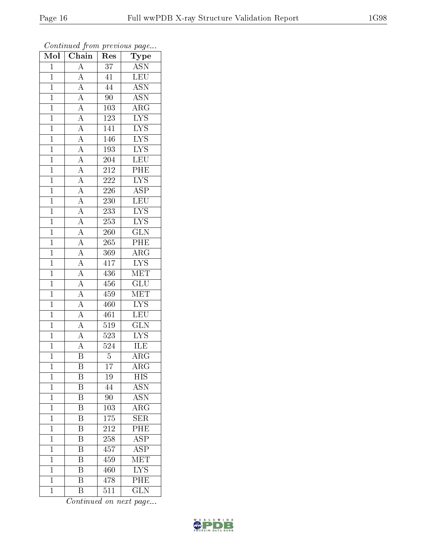| $\overline{\text{Mol}}$ | $\overline{\text{Chain}}$                                                                                                                                                                                                                                                                                   | Res              | ${\bf Type}$            |
|-------------------------|-------------------------------------------------------------------------------------------------------------------------------------------------------------------------------------------------------------------------------------------------------------------------------------------------------------|------------------|-------------------------|
| $\mathbf{1}$            | $\overline{A}$                                                                                                                                                                                                                                                                                              | $3\overline{7}$  | <b>ASN</b>              |
| $\overline{1}$          | $\overline{A}$                                                                                                                                                                                                                                                                                              | $\overline{41}$  | LEU                     |
| $\mathbf{1}$            |                                                                                                                                                                                                                                                                                                             | $\bf 44$         | $\overline{\text{ASN}}$ |
| $\mathbf{1}$            |                                                                                                                                                                                                                                                                                                             | 90               | $\overline{\text{ASN}}$ |
| $\overline{1}$          |                                                                                                                                                                                                                                                                                                             | 103              | $\overline{\rm{ARG}}$   |
| $\mathbf{1}$            |                                                                                                                                                                                                                                                                                                             | 123              | $\overline{\text{LYS}}$ |
| $\overline{1}$          |                                                                                                                                                                                                                                                                                                             | 141              | $\overline{\text{LYS}}$ |
| $\mathbf{1}$            |                                                                                                                                                                                                                                                                                                             | 146              | $\overline{\text{LYS}}$ |
| $\mathbf{1}$            |                                                                                                                                                                                                                                                                                                             | 193              | $\overline{\text{LYS}}$ |
| $\mathbf{1}$            |                                                                                                                                                                                                                                                                                                             | 204              | LEU                     |
| $\overline{1}$          |                                                                                                                                                                                                                                                                                                             | 212              | PHE                     |
| $\overline{1}$          |                                                                                                                                                                                                                                                                                                             | <b>222</b>       | $\overline{\text{LYS}}$ |
| $\overline{1}$          |                                                                                                                                                                                                                                                                                                             | 226              | $\overline{\text{ASP}}$ |
| $\mathbf{1}$            | $\frac{\overline{A}}{\overline{A}}\frac{\overline{A}}{\overline{A}}\frac{\overline{A}}{\overline{A}}\frac{\overline{A}}{\overline{A}}\frac{\overline{A}}{\overline{A}}\frac{\overline{A}}{\overline{A}}\frac{\overline{A}}{\overline{A}}\frac{\overline{A}}{\overline{A}}\frac{\overline{A}}{\overline{A}}$ | 230              | LEU                     |
| $\overline{1}$          |                                                                                                                                                                                                                                                                                                             | $\overline{233}$ | $\overline{\text{LYS}}$ |
| $\mathbf{1}$            |                                                                                                                                                                                                                                                                                                             | 253              | $\overline{\text{LYS}}$ |
| $\overline{1}$          |                                                                                                                                                                                                                                                                                                             | $\overline{260}$ | $\overline{\text{GLN}}$ |
| $\mathbf{1}$            |                                                                                                                                                                                                                                                                                                             | 265              | PHE                     |
| $\overline{1}$          |                                                                                                                                                                                                                                                                                                             | 369              | $\overline{\rm ARG}$    |
| $\mathbf{1}$            | $\frac{\overline{A}}{\overline{A}}$ $\frac{\overline{A}}{\overline{A}}$ $\frac{\overline{A}}{\overline{A}}$                                                                                                                                                                                                 | 417              | $\overline{\text{LYS}}$ |
| $\overline{1}$          |                                                                                                                                                                                                                                                                                                             | 436              | $\overline{\text{MET}}$ |
| $\overline{1}$          |                                                                                                                                                                                                                                                                                                             | 456              | $\overline{\text{GLU}}$ |
| $\mathbf{1}$            |                                                                                                                                                                                                                                                                                                             | 459              | MET                     |
| $\mathbf{1}$            |                                                                                                                                                                                                                                                                                                             | 460              | $\overline{\text{LYS}}$ |
| $\mathbf{1}$            |                                                                                                                                                                                                                                                                                                             | 461              | LEU                     |
| $\overline{1}$          |                                                                                                                                                                                                                                                                                                             | 519              | $\overline{\text{GLN}}$ |
| $\overline{1}$          |                                                                                                                                                                                                                                                                                                             | 523              | $\overline{\text{LYS}}$ |
| $\mathbf{1}$            | $\frac{1}{\mathbf{A}}$                                                                                                                                                                                                                                                                                      | $\overline{524}$ | ILE                     |
| $\mathbf 1$             | $\overline{\mathbf{B}}$                                                                                                                                                                                                                                                                                     | $\overline{5}$   | $\overline{\rm{ARG}}$   |
| $\mathbf{1}$            | Β                                                                                                                                                                                                                                                                                                           | $\overline{17}$  | $AR\overline{G}$        |
| $\overline{1}$          | Β                                                                                                                                                                                                                                                                                                           | 19               | $\overline{HIS}$        |
| $\mathbf{1}$            | $\overline{\mathrm{B}}$                                                                                                                                                                                                                                                                                     | 44               | $\overline{\text{ASN}}$ |
| $\mathbf{1}$            | Β                                                                                                                                                                                                                                                                                                           | 90               | $\operatorname{ASN}$    |
| $\mathbf{1}$            | $\overline{\mathrm{B}}$                                                                                                                                                                                                                                                                                     | $\overline{103}$ | $\overline{\rm{ARG}}$   |
| $\mathbf{1}$            | B                                                                                                                                                                                                                                                                                                           | 175              | <b>SER</b>              |
| $\mathbf 1$             | $\overline{\mathrm{B}}$                                                                                                                                                                                                                                                                                     | 212              | $\overline{\rm{PHE}}$   |
| $\mathbf 1$             | $\overline{\mathrm{B}}$                                                                                                                                                                                                                                                                                     | 258              | $\overline{\text{ASP}}$ |
| $\mathbf 1$             | $\overline{\rm B}$                                                                                                                                                                                                                                                                                          | 457              | $\overline{\text{ASP}}$ |
| $\mathbf 1$             | $\overline{\mathrm{B}}$                                                                                                                                                                                                                                                                                     | 459              | $\overline{\text{MET}}$ |
| $\mathbf{1}$            | B                                                                                                                                                                                                                                                                                                           | 460              | $\overline{\text{LYS}}$ |
| $\mathbf{1}$            | $\overline{\mathrm{B}}$                                                                                                                                                                                                                                                                                     | 478              | PHE                     |
| $\mathbf{1}$            | $\overline{\mathrm{B}}$                                                                                                                                                                                                                                                                                     | 511              | GLN                     |

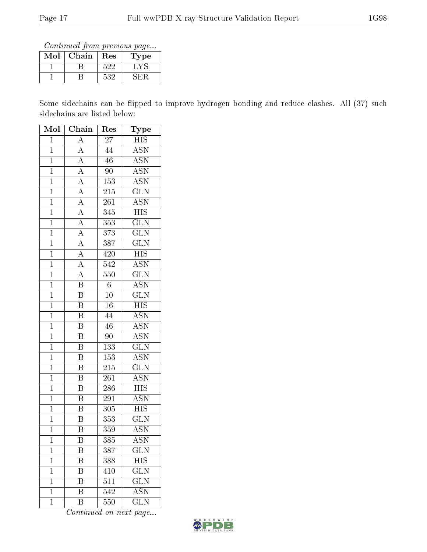Continued from previous page...

| Mol | Chain | Res | Type |
|-----|-------|-----|------|
|     |       | 599 |      |
|     |       | 532 |      |

Some sidechains can be flipped to improve hydrogen bonding and reduce clashes. All (37) such sidechains are listed below:

| Mol            | $\overline{\text{Chain}}$            | Res              | ${\rm \overline{T}ype}$   |
|----------------|--------------------------------------|------------------|---------------------------|
| $\overline{1}$ | $\overline{A}$                       | 27               | $_{\rm HIS}$              |
| $\overline{1}$ | $\overline{A}$                       | 44               | $\overline{\mathrm{ASN}}$ |
| $\overline{1}$ | $\overline{A}$                       | $\overline{46}$  | $\overline{\text{ASN}}$   |
| $\overline{1}$ | $\overline{A}$                       | $\overline{90}$  | $\overline{\mathrm{ASN}}$ |
| $\overline{1}$ | $\overline{A}$                       | 153              | $\overline{\text{ASN}}$   |
| $\overline{1}$ | $\overline{A}$                       | 215              | $\overline{\text{GLN}}$   |
| $\overline{1}$ | $\overline{A}$                       | $\overline{261}$ | $\overline{\text{ASN}}$   |
| $\overline{1}$ | $\overline{A}$                       | 345              | $\overline{HIS}$          |
| $\mathbf{1}$   | $\frac{\overline{A}}{\underline{A}}$ | 353              | $\overline{\text{GLN}}$   |
| $\mathbf{1}$   |                                      | $\overline{373}$ | $\overline{\text{GLN}}$   |
| $\mathbf{1}$   |                                      | 387              | $\overline{\text{GLN}}$   |
| $\overline{1}$ | $\frac{\overline{A}}{\overline{A}}$  | 420              | $\overline{HIS}$          |
| $\mathbf{1}$   | $\overline{A}$                       | 542              | <b>ASN</b>                |
| $\mathbf{1}$   | $\overline{A}$                       | 550              | $\overline{\text{GLN}}$   |
| $\overline{1}$ | $\overline{\mathrm{B}}$              | $\overline{6}$   | $\overline{\text{ASN}}$   |
| $\overline{1}$ | $\overline{\mathrm{B}}$              | $\overline{10}$  | $\overline{\text{GLN}}$   |
| $\overline{1}$ | $\overline{\mathrm{B}}$              | $\overline{16}$  | $\overline{\mathrm{HIS}}$ |
| $\mathbf{1}$   | $\overline{\mathrm{B}}$              | 44               | $\overline{\text{ASN}}$   |
| $\overline{1}$ | $\overline{\mathrm{B}}$              | $\overline{46}$  | <b>ASN</b>                |
| $\overline{1}$ | $\overline{\mathrm{B}}$              | 90               | $\overline{\mathrm{ASN}}$ |
| $\overline{1}$ | $\overline{\mathrm{B}}$              | 133              | $\overline{\text{GLN}}$   |
| $\overline{1}$ | $\overline{\mathbf{B}}$              | 153              | <b>ASN</b>                |
| $\overline{1}$ | $\overline{\mathrm{B}}$              | $\overline{215}$ | $\overline{\text{GLN}}$   |
| $\overline{1}$ | $\overline{\mathrm{B}}$              | $26\overline{1}$ | $\overline{\rm ASN}$      |
| $\overline{1}$ | $\overline{B}$                       | 286              | $\overline{\mathrm{HIS}}$ |
| $\overline{1}$ | $\overline{\rm B}$                   | 291              | <b>ASN</b>                |
| $\mathbf{1}$   | $\overline{\mathrm{B}}$              | 305              | $\overline{\mathrm{HIS}}$ |
| $\mathbf{1}$   | $\overline{\mathrm{B}}$              | 353              | $\overline{\text{GLN}}$   |
| $\overline{1}$ | $\overline{\mathrm{B}}$              | $\overline{3}59$ | $\overline{\text{ASN}}$   |
| 1              | Β                                    | 385              | ASN                       |
| $\mathbf 1$    | Β                                    | 387              | $\widetilde{{\rm GLN}}$   |
| $\mathbf 1$    | $\overline{\mathrm{B}}$              | 388              | HIS                       |
| $\mathbf 1$    | Β                                    | 410              | <b>GLN</b>                |
| $\mathbf 1$    | $\overline{\mathrm{B}}$              | $5\overline{11}$ | $\overline{\text{GLN}}$   |
| 1              | B                                    | 542              | <b>ASN</b>                |
| $\mathbf{1}$   | $\overline{\mathrm{B}}$              | 550              | $\overline{\text{GLN}}$   |

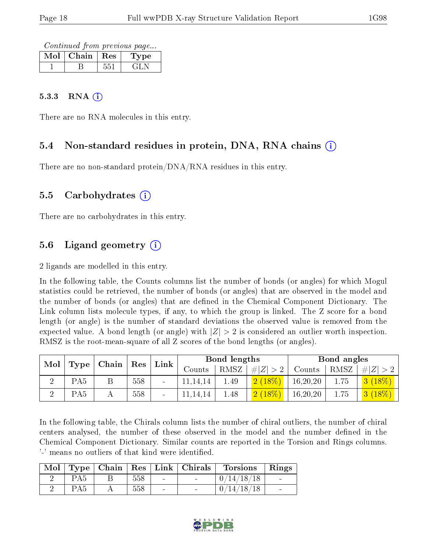Continued from previous page...

| Mol | Chain | $\perp$ Res | ype |
|-----|-------|-------------|-----|
|     |       |             |     |

#### $5.3.3$  RNA  $(i)$

There are no RNA molecules in this entry.

#### 5.4 Non-standard residues in protein, DNA, RNA chains (i)

There are no non-standard protein/DNA/RNA residues in this entry.

#### 5.5 Carbohydrates (i)

There are no carbohydrates in this entry.

### 5.6 Ligand geometry  $(i)$

2 ligands are modelled in this entry.

In the following table, the Counts columns list the number of bonds (or angles) for which Mogul statistics could be retrieved, the number of bonds (or angles) that are observed in the model and the number of bonds (or angles) that are defined in the Chemical Component Dictionary. The Link column lists molecule types, if any, to which the group is linked. The Z score for a bond length (or angle) is the number of standard deviations the observed value is removed from the expected value. A bond length (or angle) with  $|Z| > 2$  is considered an outlier worth inspection. RMSZ is the root-mean-square of all Z scores of the bond lengths (or angles).

| Mol |                 |                     |            | Link |          | Bond lengths |             |            | Bond angles |        |
|-----|-----------------|---------------------|------------|------|----------|--------------|-------------|------------|-------------|--------|
|     | Type            | $\mid$ Chain $\mid$ | $\mid$ Res |      | Counts   | RMSZ         | # $ Z  > 2$ | Counts     | RMSZ        | # Z    |
|     | PA <sub>5</sub> |                     | 558        |      | .14.14   | 1.49         | (2(18%)     | 16, 20, 20 | 1.75        | 3(18%) |
|     | PA <sub>5</sub> |                     | 558        |      | 11.14.14 | 1.48         | (2 (18%)    | 16, 20, 20 | 1.75        | 3(18%) |

In the following table, the Chirals column lists the number of chiral outliers, the number of chiral centers analysed, the number of these observed in the model and the number defined in the Chemical Component Dictionary. Similar counts are reported in the Torsion and Rings columns. '-' means no outliers of that kind were identified.

|                 |     | Mol   Type   Chain   Res   Link   Chirals | Torsions   | $\vert$ Rings |
|-----------------|-----|-------------------------------------------|------------|---------------|
| PA <sub>5</sub> | 558 |                                           | 0/14/18/18 |               |
| PA <sub>5</sub> | 558 |                                           | 0/14/18/18 |               |

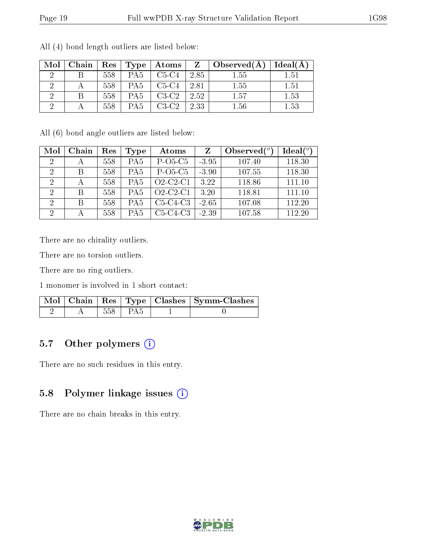| Mol | Chain | $\operatorname{Res}$ | Type            | $\boldsymbol{\mathrm{Atoms}}$ | $\mathbf{Z}$ | $\vert$ Observed $(A)$ | Ideal(A) |
|-----|-------|----------------------|-----------------|-------------------------------|--------------|------------------------|----------|
|     |       | 558                  | PA <sub>5</sub> | $C5-C4$                       | 2.85         | 1.55                   | 1.51     |
|     |       | 558                  | PA <sub>5</sub> | $C5-C4$                       | 2.81         | 1.55                   | 1.51     |
|     |       | 558                  | PA <sub>5</sub> | $C3-C2$                       | 2.52         | 1.57                   | 1.53     |
|     |       | 558                  | PA <sub>5</sub> | $C3-C2$                       | 2.33         | 1.56                   | 1.53     |

All (4) bond length outliers are listed below:

All (6) bond angle outliers are listed below:

| Mol                         | Chain        | Res | Type            | Atoms      | Z       | Observed $(°)$ | Ideal $(°)$ |
|-----------------------------|--------------|-----|-----------------|------------|---------|----------------|-------------|
| $\mathcal{D}_{\mathcal{L}}$ |              | 558 | PA <sub>5</sub> | $P-O5-C5$  | $-3.95$ | 107.40         | 118.30      |
| 2                           | В            | 558 | PA <sub>5</sub> | $P-O5-C5$  | $-3.90$ | 107.55         | 118.30      |
| $\mathcal{D}$               |              | 558 | PA <sub>5</sub> | $O2-C2-C1$ | 3.22    | 118.86         | 111.10      |
| $\mathcal{D}$               | <sup>B</sup> | 558 | PA <sub>5</sub> | $O2-C2-C1$ | 3.20    | 118.81         | 111.10      |
| $\mathcal{D}$               | R            | 558 | PA <sub>5</sub> | $C5-C4-C3$ | $-2.65$ | 107.08         | 112.20      |
| $\mathcal{D}$               |              | 558 | PA <sub>5</sub> | $C5-C4-C3$ | $-2.39$ | 107.58         | 112.20      |

There are no chirality outliers.

There are no torsion outliers.

There are no ring outliers.

1 monomer is involved in 1 short contact:

|  |         | $\sqrt{\text{Mol}\parallel\text{Chain}}\parallel\text{Res}\parallel\text{Type}\parallel\text{Class}\parallel\text{Symm-Class}\parallel$ |
|--|---------|-----------------------------------------------------------------------------------------------------------------------------------------|
|  | 558 PA5 |                                                                                                                                         |

### 5.7 [O](https://www.wwpdb.org/validation/2017/XrayValidationReportHelp#nonstandard_residues_and_ligands)ther polymers (i)

There are no such residues in this entry.

### 5.8 Polymer linkage issues (i)

There are no chain breaks in this entry.